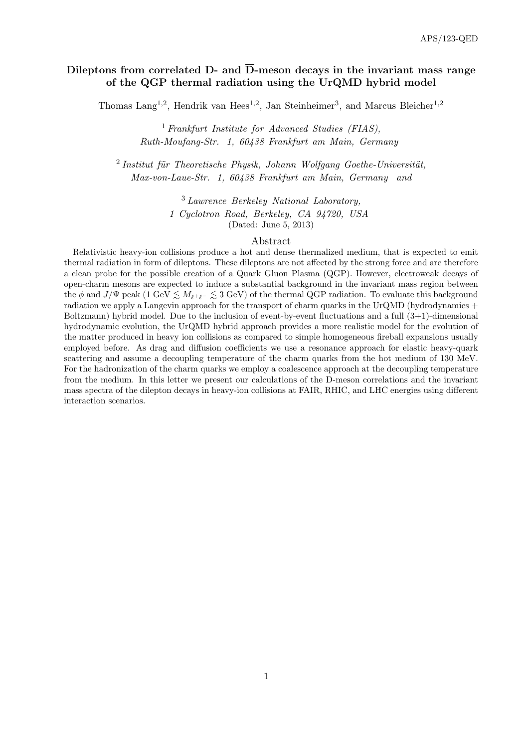# Dileptons from correlated D- and  $\overline{D}$ -meson decays in the invariant mass range of the QGP thermal radiation using the UrQMD hybrid model

Thomas Lang<sup>1,2</sup>, Hendrik van Hees<sup>1,2</sup>, Jan Steinheimer<sup>3</sup>, and Marcus Bleicher<sup>1,2</sup>

<sup>1</sup> Frankfurt Institute for Advanced Studies (FIAS), Ruth-Moufang-Str. 1, 60438 Frankfurt am Main, Germany

 $2$ Institut für Theoretische Physik, Johann Wolfgang Goethe-Universität, Max-von-Laue-Str. 1, 60438 Frankfurt am Main, Germany and

> <sup>3</sup> Lawrence Berkeley National Laboratory, 1 Cyclotron Road, Berkeley, CA 94720, USA (Dated: June 5, 2013)

### Abstract

Relativistic heavy-ion collisions produce a hot and dense thermalized medium, that is expected to emit thermal radiation in form of dileptons. These dileptons are not affected by the strong force and are therefore a clean probe for the possible creation of a Quark Gluon Plasma (QGP). However, electroweak decays of open-charm mesons are expected to induce a substantial background in the invariant mass region between the  $\phi$  and  $J/\Psi$  peak (1 GeV  $\lesssim M_{\ell^+\ell^-} \lesssim 3$  GeV) of the thermal QGP radiation. To evaluate this background radiation we apply a Langevin approach for the transport of charm quarks in the UrQMD (hydrodynamics + Boltzmann) hybrid model. Due to the inclusion of event-by-event fluctuations and a full  $(3+1)$ -dimensional hydrodynamic evolution, the UrQMD hybrid approach provides a more realistic model for the evolution of the matter produced in heavy ion collisions as compared to simple homogeneous fireball expansions usually employed before. As drag and diffusion coefficients we use a resonance approach for elastic heavy-quark scattering and assume a decoupling temperature of the charm quarks from the hot medium of 130 MeV. For the hadronization of the charm quarks we employ a coalescence approach at the decoupling temperature from the medium. In this letter we present our calculations of the D-meson correlations and the invariant mass spectra of the dilepton decays in heavy-ion collisions at FAIR, RHIC, and LHC energies using different interaction scenarios.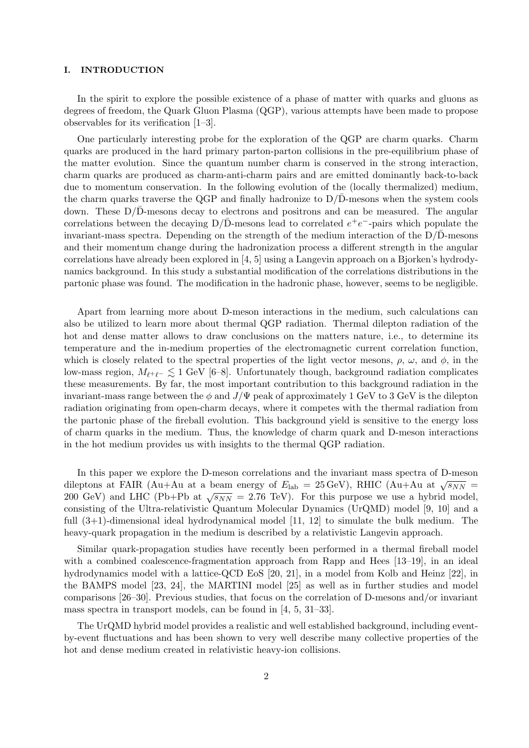# I. INTRODUCTION

In the spirit to explore the possible existence of a phase of matter with quarks and gluons as degrees of freedom, the Quark Gluon Plasma (QGP), various attempts have been made to propose observables for its verification [1–3].

One particularly interesting probe for the exploration of the QGP are charm quarks. Charm quarks are produced in the hard primary parton-parton collisions in the pre-equilibrium phase of the matter evolution. Since the quantum number charm is conserved in the strong interaction, charm quarks are produced as charm-anti-charm pairs and are emitted dominantly back-to-back due to momentum conservation. In the following evolution of the (locally thermalized) medium, the charm quarks traverse the QGP and finally hadronize to  $D/\overline{D}$ -mesons when the system cools down. These  $D/D$ -mesons decay to electrons and positrons and can be measured. The angular correlations between the decaying  $D/\bar{D}$ -mesons lead to correlated  $e^+e^-$ -pairs which populate the invariant-mass spectra. Depending on the strength of the medium interaction of the  $D/D$ -mesons and their momentum change during the hadronization process a different strength in the angular correlations have already been explored in [4, 5] using a Langevin approach on a Bjorken's hydrodynamics background. In this study a substantial modification of the correlations distributions in the partonic phase was found. The modification in the hadronic phase, however, seems to be negligible.

Apart from learning more about D-meson interactions in the medium, such calculations can also be utilized to learn more about thermal QGP radiation. Thermal dilepton radiation of the hot and dense matter allows to draw conclusions on the matters nature, i.e., to determine its temperature and the in-medium properties of the electromagnetic current correlation function, which is closely related to the spectral properties of the light vector mesons,  $\rho$ ,  $\omega$ , and  $\phi$ , in the low-mass region,  $M_{\ell^+\ell^-} \lesssim 1$  GeV [6–8]. Unfortunately though, background radiation complicates these measurements. By far, the most important contribution to this background radiation in the invariant-mass range between the  $\phi$  and  $J/\Psi$  peak of approximately 1 GeV to 3 GeV is the dilepton radiation originating from open-charm decays, where it competes with the thermal radiation from the partonic phase of the fireball evolution. This background yield is sensitive to the energy loss of charm quarks in the medium. Thus, the knowledge of charm quark and D-meson interactions in the hot medium provides us with insights to the thermal QGP radiation.

In this paper we explore the D-meson correlations and the invariant mass spectra of D-meson dileptons at FAIR (Au+Au at a beam energy of  $E_{\text{lab}} = 25 \,\text{GeV}$ ), RHIC (Au+Au at  $\sqrt{s_{NN}} =$ 200 GeV) and LHC (Pb+Pb at  $\sqrt{s_{NN}}$  = 2.76 TeV). For this purpose we use a hybrid model, consisting of the Ultra-relativistic Quantum Molecular Dynamics (UrQMD) model [9, 10] and a full (3+1)-dimensional ideal hydrodynamical model [11, 12] to simulate the bulk medium. The heavy-quark propagation in the medium is described by a relativistic Langevin approach.

Similar quark-propagation studies have recently been performed in a thermal fireball model with a combined coalescence-fragmentation approach from Rapp and Hees [13–19], in an ideal hydrodynamics model with a lattice-QCD EoS [20, 21], in a model from Kolb and Heinz [22], in the BAMPS model [23, 24], the MARTINI model [25] as well as in further studies and model comparisons [26–30]. Previous studies, that focus on the correlation of D-mesons and/or invariant mass spectra in transport models, can be found in [4, 5, 31–33].

The UrQMD hybrid model provides a realistic and well established background, including eventby-event fluctuations and has been shown to very well describe many collective properties of the hot and dense medium created in relativistic heavy-ion collisions.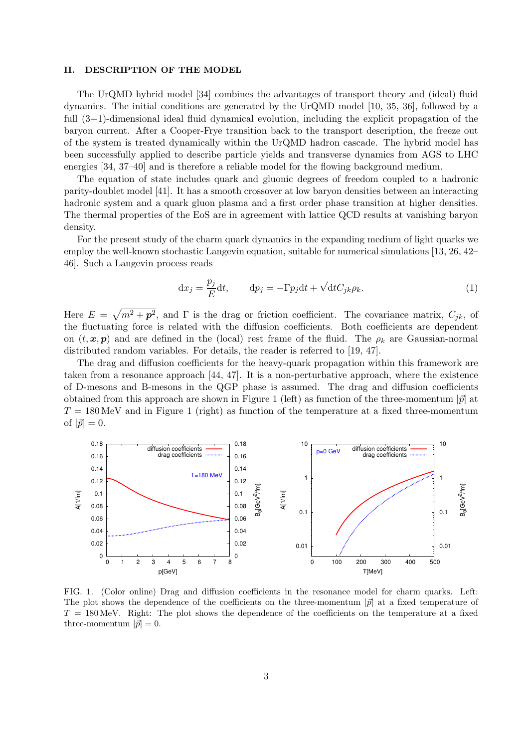# II. DESCRIPTION OF THE MODEL

The UrQMD hybrid model [34] combines the advantages of transport theory and (ideal) fluid dynamics. The initial conditions are generated by the UrQMD model [10, 35, 36], followed by a full (3+1)-dimensional ideal fluid dynamical evolution, including the explicit propagation of the baryon current. After a Cooper-Frye transition back to the transport description, the freeze out of the system is treated dynamically within the UrQMD hadron cascade. The hybrid model has been successfully applied to describe particle yields and transverse dynamics from AGS to LHC energies [34, 37–40] and is therefore a reliable model for the flowing background medium.

The equation of state includes quark and gluonic degrees of freedom coupled to a hadronic parity-doublet model [41]. It has a smooth crossover at low baryon densities between an interacting hadronic system and a quark gluon plasma and a first order phase transition at higher densities. The thermal properties of the EoS are in agreement with lattice QCD results at vanishing baryon density.

For the present study of the charm quark dynamics in the expanding medium of light quarks we employ the well-known stochastic Langevin equation, suitable for numerical simulations [13, 26, 42– 46]. Such a Langevin process reads

$$
\mathrm{d}x_j = \frac{p_j}{E} \mathrm{d}t, \qquad \mathrm{d}p_j = -\Gamma p_j \mathrm{d}t + \sqrt{\mathrm{d}t} C_{jk} \rho_k. \tag{1}
$$

Here  $E = \sqrt{m^2 + \mathbf{p}^2}$ , and  $\Gamma$  is the drag or friction coefficient. The covariance matrix,  $C_{jk}$ , of the fluctuating force is related with the diffusion coefficients. Both coefficients are dependent on  $(t, x, p)$  and are defined in the (local) rest frame of the fluid. The  $\rho_k$  are Gaussian-normal distributed random variables. For details, the reader is referred to [19, 47].

The drag and diffusion coefficients for the heavy-quark propagation within this framework are taken from a resonance approach [44, 47]. It is a non-perturbative approach, where the existence of D-mesons and B-mesons in the QGP phase is assumed. The drag and diffusion coefficients obtained from this approach are shown in Figure 1 (left) as function of the three-momentum  $|\vec{p}|$  at  $T = 180 \,\text{MeV}$  and in Figure 1 (right) as function of the temperature at a fixed three-momentum of  $|\vec{p}| = 0$ .



FIG. 1. (Color online) Drag and diffusion coefficients in the resonance model for charm quarks. Left: The plot shows the dependence of the coefficients on the three-momentum  $|\vec{p}|$  at a fixed temperature of  $T = 180 \,\text{MeV}$ . Right: The plot shows the dependence of the coefficients on the temperature at a fixed three-momentum  $|\vec{p}| = 0$ .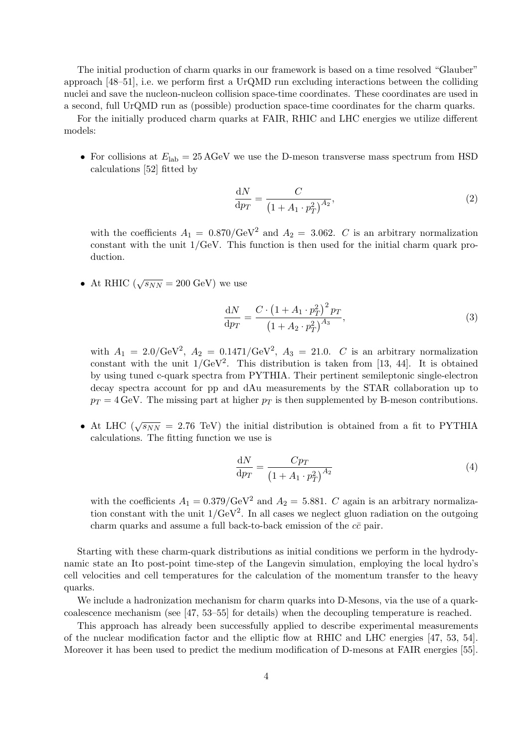The initial production of charm quarks in our framework is based on a time resolved "Glauber" approach [48–51], i.e. we perform first a UrQMD run excluding interactions between the colliding nuclei and save the nucleon-nucleon collision space-time coordinates. These coordinates are used in a second, full UrQMD run as (possible) production space-time coordinates for the charm quarks.

For the initially produced charm quarks at FAIR, RHIC and LHC energies we utilize different models:

• For collisions at  $E_{\text{lab}} = 25 \text{ AGeV}$  we use the D-meson transverse mass spectrum from HSD calculations [52] fitted by

$$
\frac{\mathrm{d}N}{\mathrm{d}p_T} = \frac{C}{\left(1 + A_1 \cdot p_T^2\right)^{A_2}},\tag{2}
$$

with the coefficients  $A_1 = 0.870/\text{GeV}^2$  and  $A_2 = 3.062$ . C is an arbitrary normalization constant with the unit 1/GeV. This function is then used for the initial charm quark production.

• At RHIC  $(\sqrt{s_{NN}} = 200 \text{ GeV})$  we use

$$
\frac{dN}{dp_T} = \frac{C \cdot (1 + A_1 \cdot p_T^2)^2 p_T}{(1 + A_2 \cdot p_T^2)^{A_3}},
$$
\n(3)

with  $A_1 = 2.0/\text{GeV}^2$ ,  $A_2 = 0.1471/\text{GeV}^2$ ,  $A_3 = 21.0$ . C is an arbitrary normalization constant with the unit  $1/\text{GeV}^2$ . This distribution is taken from [13, 44]. It is obtained by using tuned c-quark spectra from PYTHIA. Their pertinent semileptonic single-electron decay spectra account for pp and dAu measurements by the STAR collaboration up to  $p_T = 4 \,\text{GeV}$ . The missing part at higher  $p_T$  is then supplemented by B-meson contributions.

• At LHC ( $\sqrt{s_{NN}}$  = 2.76 TeV) the initial distribution is obtained from a fit to PYTHIA calculations. The fitting function we use is

$$
\frac{\mathrm{d}N}{\mathrm{d}p_T} = \frac{Cp_T}{\left(1 + A_1 \cdot p_T^2\right)^{A_2}}\tag{4}
$$

with the coefficients  $A_1 = 0.379/\text{GeV}^2$  and  $A_2 = 5.881$ . C again is an arbitrary normalization constant with the unit  $1/\text{GeV}^2$ . In all cases we neglect gluon radiation on the outgoing charm quarks and assume a full back-to-back emission of the  $c\bar{c}$  pair.

Starting with these charm-quark distributions as initial conditions we perform in the hydrodynamic state an Ito post-point time-step of the Langevin simulation, employing the local hydro's cell velocities and cell temperatures for the calculation of the momentum transfer to the heavy quarks.

We include a hadronization mechanism for charm quarks into D-Mesons, via the use of a quarkcoalescence mechanism (see [47, 53–55] for details) when the decoupling temperature is reached.

This approach has already been successfully applied to describe experimental measurements of the nuclear modification factor and the elliptic flow at RHIC and LHC energies [47, 53, 54]. Moreover it has been used to predict the medium modification of D-mesons at FAIR energies [55].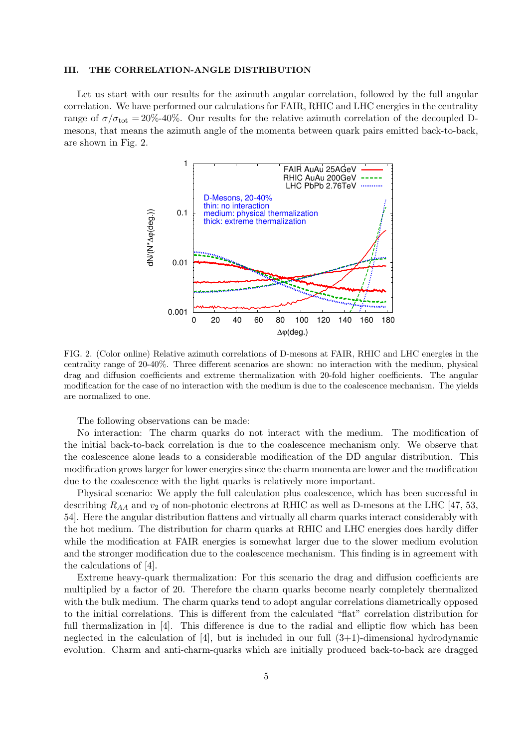## III. THE CORRELATION-ANGLE DISTRIBUTION

Let us start with our results for the azimuth angular correlation, followed by the full angular correlation. We have performed our calculations for FAIR, RHIC and LHC energies in the centrality range of  $\sigma/\sigma_{\text{tot}} = 20\%$ -40%. Our results for the relative azimuth correlation of the decoupled Dmesons, that means the azimuth angle of the momenta between quark pairs emitted back-to-back, are shown in Fig. 2.



FIG. 2. (Color online) Relative azimuth correlations of D-mesons at FAIR, RHIC and LHC energies in the centrality range of 20-40%. Three different scenarios are shown: no interaction with the medium, physical drag and diffusion coefficients and extreme thermalization with 20-fold higher coefficients. The angular modification for the case of no interaction with the medium is due to the coalescence mechanism. The yields are normalized to one.

The following observations can be made:

No interaction: The charm quarks do not interact with the medium. The modification of the initial back-to-back correlation is due to the coalescence mechanism only. We observe that the coalescence alone leads to a considerable modification of the DD angular distribution. This modification grows larger for lower energies since the charm momenta are lower and the modification due to the coalescence with the light quarks is relatively more important.

Physical scenario: We apply the full calculation plus coalescence, which has been successful in describing  $R_{AA}$  and  $v_2$  of non-photonic electrons at RHIC as well as D-mesons at the LHC [47, 53, 54]. Here the angular distribution flattens and virtually all charm quarks interact considerably with the hot medium. The distribution for charm quarks at RHIC and LHC energies does hardly differ while the modification at FAIR energies is somewhat larger due to the slower medium evolution and the stronger modification due to the coalescence mechanism. This finding is in agreement with the calculations of [4].

Extreme heavy-quark thermalization: For this scenario the drag and diffusion coefficients are multiplied by a factor of 20. Therefore the charm quarks become nearly completely thermalized with the bulk medium. The charm quarks tend to adopt angular correlations diametrically opposed to the initial correlations. This is different from the calculated "flat" correlation distribution for full thermalization in [4]. This difference is due to the radial and elliptic flow which has been neglected in the calculation of  $[4]$ , but is included in our full  $(3+1)$ -dimensional hydrodynamic evolution. Charm and anti-charm-quarks which are initially produced back-to-back are dragged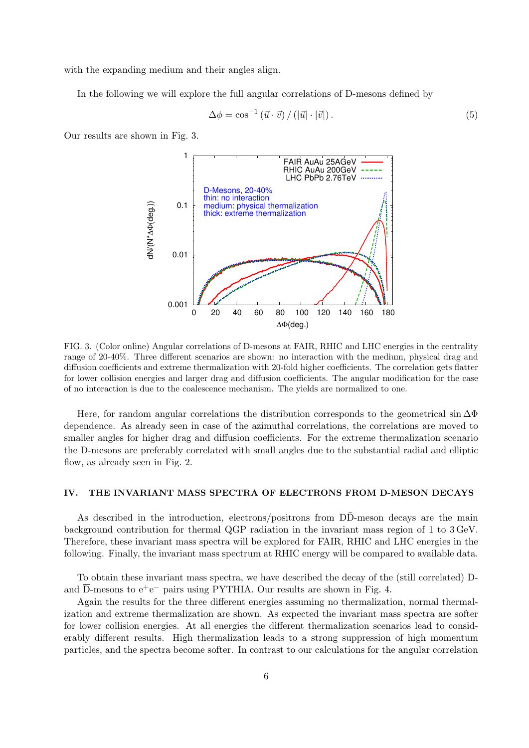with the expanding medium and their angles align.

In the following we will explore the full angular correlations of D-mesons defined by

$$
\Delta \phi = \cos^{-1} \left( \vec{u} \cdot \vec{v} \right) / \left( |\vec{u}| \cdot |\vec{v}| \right). \tag{5}
$$

Our results are shown in Fig. 3.



FIG. 3. (Color online) Angular correlations of D-mesons at FAIR, RHIC and LHC energies in the centrality range of 20-40%. Three different scenarios are shown: no interaction with the medium, physical drag and diffusion coefficients and extreme thermalization with 20-fold higher coefficients. The correlation gets flatter for lower collision energies and larger drag and diffusion coefficients. The angular modification for the case of no interaction is due to the coalescence mechanism. The yields are normalized to one.

Here, for random angular correlations the distribution corresponds to the geometrical sin  $\Delta\Phi$ dependence. As already seen in case of the azimuthal correlations, the correlations are moved to smaller angles for higher drag and diffusion coefficients. For the extreme thermalization scenario the D-mesons are preferably correlated with small angles due to the substantial radial and elliptic flow, as already seen in Fig. 2.

#### IV. THE INVARIANT MASS SPECTRA OF ELECTRONS FROM D-MESON DECAYS

As described in the introduction, electrons/positrons from DD-meson decays are the main background contribution for thermal QGP radiation in the invariant mass region of 1 to 3 GeV. Therefore, these invariant mass spectra will be explored for FAIR, RHIC and LHC energies in the following. Finally, the invariant mass spectrum at RHIC energy will be compared to available data.

To obtain these invariant mass spectra, we have described the decay of the (still correlated) Dand  $\overline{D}$ -mesons to  $e^+e^-$  pairs using PYTHIA. Our results are shown in Fig. 4.

Again the results for the three different energies assuming no thermalization, normal thermalization and extreme thermalization are shown. As expected the invariant mass spectra are softer for lower collision energies. At all energies the different thermalization scenarios lead to considerably different results. High thermalization leads to a strong suppression of high momentum particles, and the spectra become softer. In contrast to our calculations for the angular correlation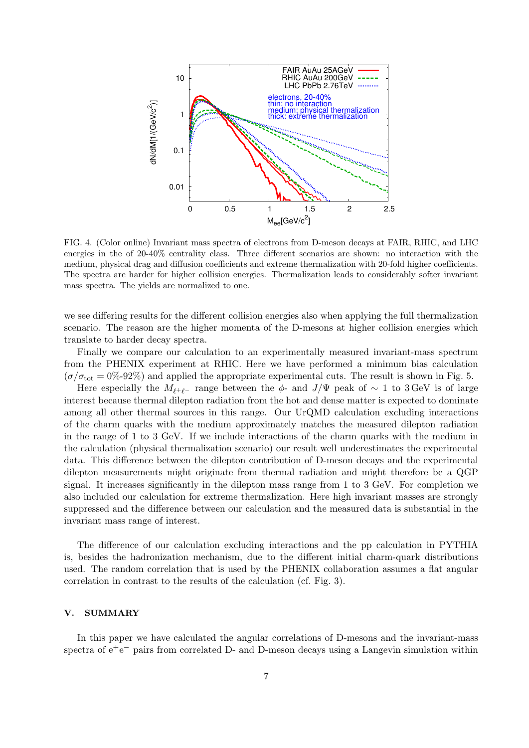

FIG. 4. (Color online) Invariant mass spectra of electrons from D-meson decays at FAIR, RHIC, and LHC energies in the of 20-40% centrality class. Three different scenarios are shown: no interaction with the medium, physical drag and diffusion coefficients and extreme thermalization with 20-fold higher coefficients. The spectra are harder for higher collision energies. Thermalization leads to considerably softer invariant mass spectra. The yields are normalized to one.

we see differing results for the different collision energies also when applying the full thermalization scenario. The reason are the higher momenta of the D-mesons at higher collision energies which translate to harder decay spectra.

Finally we compare our calculation to an experimentally measured invariant-mass spectrum from the PHENIX experiment at RHIC. Here we have performed a minimum bias calculation  $(\sigma/\sigma_{\text{tot}} = 0\% \text{-} 92\%)$  and applied the appropriate experimental cuts. The result is shown in Fig. 5.

Here especially the  $M_{\ell^+\ell^-}$  range between the  $\phi$ - and J/Ψ peak of  $\sim 1$  to 3 GeV is of large interest because thermal dilepton radiation from the hot and dense matter is expected to dominate among all other thermal sources in this range. Our UrQMD calculation excluding interactions of the charm quarks with the medium approximately matches the measured dilepton radiation in the range of 1 to 3 GeV. If we include interactions of the charm quarks with the medium in the calculation (physical thermalization scenario) our result well underestimates the experimental data. This difference between the dilepton contribution of D-meson decays and the experimental dilepton measurements might originate from thermal radiation and might therefore be a QGP signal. It increases significantly in the dilepton mass range from 1 to 3 GeV. For completion we also included our calculation for extreme thermalization. Here high invariant masses are strongly suppressed and the difference between our calculation and the measured data is substantial in the invariant mass range of interest.

The difference of our calculation excluding interactions and the pp calculation in PYTHIA is, besides the hadronization mechanism, due to the different initial charm-quark distributions used. The random correlation that is used by the PHENIX collaboration assumes a flat angular correlation in contrast to the results of the calculation (cf. Fig. 3).

# V. SUMMARY

In this paper we have calculated the angular correlations of D-mesons and the invariant-mass spectra of  $e^+e^-$  pairs from correlated D- and  $\overline{D}$ -meson decays using a Langevin simulation within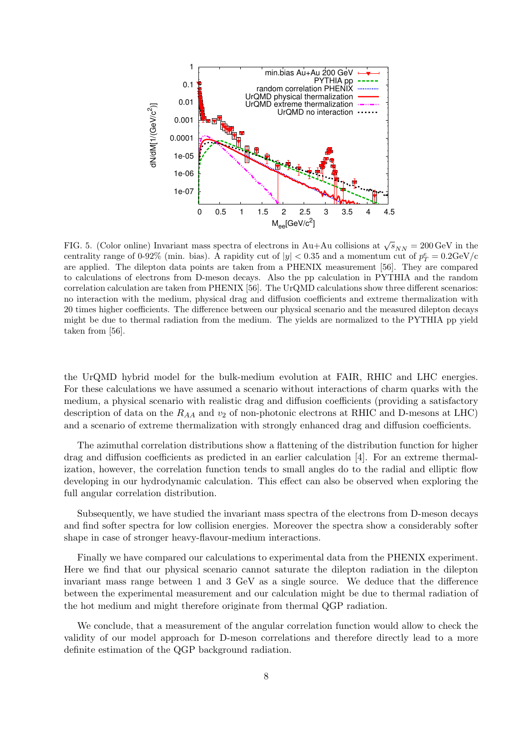

FIG. 5. (Color online) Invariant mass spectra of electrons in Au+Au collisions at  $\sqrt{s}_{NN} = 200 \,\text{GeV}$  in the centrality range of 0-92% (min. bias). A rapidity cut of  $|y| < 0.35$  and a momentum cut of  $p_T^e = 0.2 \text{GeV/c}$ are applied. The dilepton data points are taken from a PHENIX measurement [56]. They are compared to calculations of electrons from D-meson decays. Also the pp calculation in PYTHIA and the random correlation calculation are taken from PHENIX [56]. The UrQMD calculations show three different scenarios: no interaction with the medium, physical drag and diffusion coefficients and extreme thermalization with 20 times higher coefficients. The difference between our physical scenario and the measured dilepton decays might be due to thermal radiation from the medium. The yields are normalized to the PYTHIA pp yield taken from [56].

the UrQMD hybrid model for the bulk-medium evolution at FAIR, RHIC and LHC energies. For these calculations we have assumed a scenario without interactions of charm quarks with the medium, a physical scenario with realistic drag and diffusion coefficients (providing a satisfactory description of data on the  $R_{AA}$  and  $v_2$  of non-photonic electrons at RHIC and D-mesons at LHC) and a scenario of extreme thermalization with strongly enhanced drag and diffusion coefficients.

The azimuthal correlation distributions show a flattening of the distribution function for higher drag and diffusion coefficients as predicted in an earlier calculation [4]. For an extreme thermalization, however, the correlation function tends to small angles do to the radial and elliptic flow developing in our hydrodynamic calculation. This effect can also be observed when exploring the full angular correlation distribution.

Subsequently, we have studied the invariant mass spectra of the electrons from D-meson decays and find softer spectra for low collision energies. Moreover the spectra show a considerably softer shape in case of stronger heavy-flavour-medium interactions.

Finally we have compared our calculations to experimental data from the PHENIX experiment. Here we find that our physical scenario cannot saturate the dilepton radiation in the dilepton invariant mass range between 1 and 3 GeV as a single source. We deduce that the difference between the experimental measurement and our calculation might be due to thermal radiation of the hot medium and might therefore originate from thermal QGP radiation.

We conclude, that a measurement of the angular correlation function would allow to check the validity of our model approach for D-meson correlations and therefore directly lead to a more definite estimation of the QGP background radiation.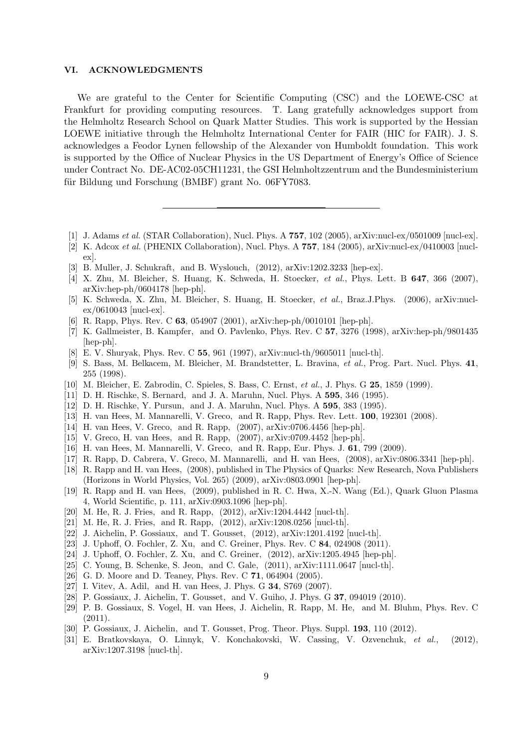#### VI. ACKNOWLEDGMENTS

We are grateful to the Center for Scientific Computing (CSC) and the LOEWE-CSC at Frankfurt for providing computing resources. T. Lang gratefully acknowledges support from the Helmholtz Research School on Quark Matter Studies. This work is supported by the Hessian LOEWE initiative through the Helmholtz International Center for FAIR (HIC for FAIR). J. S. acknowledges a Feodor Lynen fellowship of the Alexander von Humboldt foundation. This work is supported by the Office of Nuclear Physics in the US Department of Energy's Office of Science under Contract No. DE-AC02-05CH11231, the GSI Helmholtzzentrum and the Bundesministerium für Bildung und Forschung (BMBF) grant No. 06FY7083.

- [1] J. Adams *et al.* (STAR Collaboration), Nucl. Phys. A  $757$ , 102 (2005), arXiv:nucl-ex/0501009 [nucl-ex].
- [2] K. Adcox et al. (PHENIX Collaboration), Nucl. Phys. A 757, 184 (2005), arXiv:nucl-ex/0410003 [nuclex].
- [3] B. Muller, J. Schukraft, and B. Wyslouch, (2012), arXiv:1202.3233 [hep-ex].
- [4] X. Zhu, M. Bleicher, S. Huang, K. Schweda, H. Stoecker, et al., Phys. Lett. B 647, 366 (2007), arXiv:hep-ph/0604178 [hep-ph].
- [5] K. Schweda, X. Zhu, M. Bleicher, S. Huang, H. Stoecker, et al., Braz.J.Phys. (2006), arXiv:nuclex/0610043 [nucl-ex].
- [6] R. Rapp, Phys. Rev. C 63, 054907 (2001), arXiv:hep-ph/0010101 [hep-ph].
- [7] K. Gallmeister, B. Kampfer, and O. Pavlenko, Phys. Rev. C 57, 3276 (1998), arXiv:hep-ph/9801435 [hep-ph].
- [8] E. V. Shuryak, Phys. Rev. C 55, 961 (1997), arXiv:nucl-th/9605011 [nucl-th].
- [9] S. Bass, M. Belkacem, M. Bleicher, M. Brandstetter, L. Bravina, et al., Prog. Part. Nucl. Phys. 41, 255 (1998).
- [10] M. Bleicher, E. Zabrodin, C. Spieles, S. Bass, C. Ernst, et al., J. Phys. G 25, 1859 (1999).
- [11] D. H. Rischke, S. Bernard, and J. A. Maruhn, Nucl. Phys. A 595, 346 (1995).
- [12] D. H. Rischke, Y. Pursun, and J. A. Maruhn, Nucl. Phys. A 595, 383 (1995).
- [13] H. van Hees, M. Mannarelli, V. Greco, and R. Rapp, Phys. Rev. Lett. 100, 192301 (2008).
- [14] H. van Hees, V. Greco, and R. Rapp, (2007), arXiv:0706.4456 [hep-ph].
- [15] V. Greco, H. van Hees, and R. Rapp, (2007), arXiv:0709.4452 [hep-ph].
- [16] H. van Hees, M. Mannarelli, V. Greco, and R. Rapp, Eur. Phys. J. 61, 799 (2009).
- [17] R. Rapp, D. Cabrera, V. Greco, M. Mannarelli, and H. van Hees, (2008), arXiv:0806.3341 [hep-ph].
- [18] R. Rapp and H. van Hees, (2008), published in The Physics of Quarks: New Research, Nova Publishers (Horizons in World Physics, Vol. 265) (2009), arXiv:0803.0901 [hep-ph].
- [19] R. Rapp and H. van Hees, (2009), published in R. C. Hwa, X.-N. Wang (Ed.), Quark Gluon Plasma 4, World Scientific, p. 111, arXiv:0903.1096 [hep-ph].
- [20] M. He, R. J. Fries, and R. Rapp, (2012), arXiv:1204.4442 [nucl-th].
- [21] M. He, R. J. Fries, and R. Rapp, (2012), arXiv:1208.0256 [nucl-th].
- [22] J. Aichelin, P. Gossiaux, and T. Gousset, (2012), arXiv:1201.4192 [nucl-th].
- [23] J. Uphoff, O. Fochler, Z. Xu, and C. Greiner, Phys. Rev. C 84, 024908 (2011).
- [24] J. Uphoff, O. Fochler, Z. Xu, and C. Greiner, (2012), arXiv:1205.4945 [hep-ph].
- [25] C. Young, B. Schenke, S. Jeon, and C. Gale, (2011), arXiv:1111.0647 [nucl-th].
- [26] G. D. Moore and D. Teaney, Phys. Rev. C 71, 064904 (2005).
- [27] I. Vitev, A. Adil, and H. van Hees, J. Phys. G 34, S769 (2007).
- [28] P. Gossiaux, J. Aichelin, T. Gousset, and V. Guiho, J. Phys. G 37, 094019 (2010).
- [29] P. B. Gossiaux, S. Vogel, H. van Hees, J. Aichelin, R. Rapp, M. He, and M. Bluhm, Phys. Rev. C (2011).
- [30] P. Gossiaux, J. Aichelin, and T. Gousset, Prog. Theor. Phys. Suppl. **193**, 110 (2012).
- [31] E. Bratkovskaya, O. Linnyk, V. Konchakovski, W. Cassing, V. Ozvenchuk, et al., (2012), arXiv:1207.3198 [nucl-th].